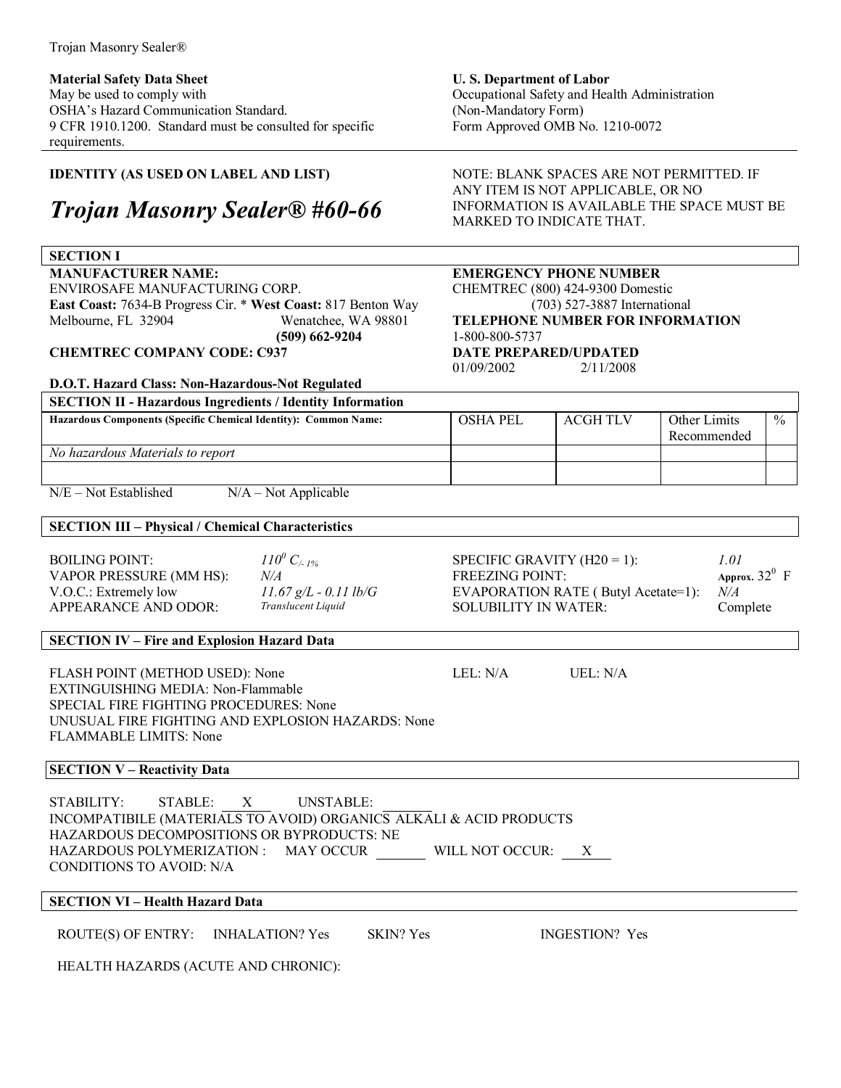**Material Safety Data Sheet**  May be used to comply with OSHA's Hazard Communication Standard. 9 CFR 1910.1200. Standard must be consulted for specific requirements.

### **IDENTITY (AS USED ON LABEL AND LIST)**

# *Trojan Masonry SealerÆ #60-66*

#### **SECTION I**

**MANUFACTURER NAME:**  ENVIROSAFE MANUFACTURING CORP. **East Coast:** 7634-B Progress Cir. \* **West Coast:** 817 Benton Way Melbourne, FL 32904 Wenatchee, WA 98801  **(509) 662-9204** 

**CHEMTREC COMPANY CODE: C937**

#### **D.O.T. Hazard Class: Non-Hazardous-Not Regulated**

**SECTION II - Hazardous Ingredients / Identity Information** 

**U. S. Department of Labor**  Occupational Safety and Health Administration (Non-Mandatory Form) Form Approved OMB No. 1210-0072

NOTE: BLANK SPACES ARE NOT PERMITTED. IF ANY ITEM IS NOT APPLICABLE, OR NO INFORMATION IS AVAILABLE THE SPACE MUST BE MARKED TO INDICATE THAT.

## **EMERGENCY PHONE NUMBER**

CHEMTREC (800) 424-9300 Domestic (703) 527-3887 International **TELEPHONE NUMBER FOR INFORMATION** 1-800-800-5737 **DATE PREPARED/UPDATED**  01/09/2002 2/11/2008

| No hazardous Materials to report |  |
|----------------------------------|--|
|                                  |  |

 $N/E - Not Established$   $N/A - Not Applicable$ 

#### **SECTION III – Physical / Chemical Characteristics**

| <b>BOILING POINT:</b>          | $110^{0} C_{4.1\%}$     |
|--------------------------------|-------------------------|
| <b>VAPOR PRESSURE (MM HS):</b> | N/A                     |
| V.O.C.: Extremely low          | $11.67 g/L - 0.11 lb/0$ |
| APPEARANCE AND ODOR:           | Translucent Liquid      |

 *C/- 1%* SPECIFIC GRAVITY (H20 = 1): *1.01*  $FREEZING POINT:$ G.: EVAPORATION RATE ( Butyl Acetate=1): *N/A* SOLUBILITY IN WATER: Complete

# Approx.  $32^0$  F

 $\frac{0}{0}$ 

Recommended

#### **SECTION IV - Fire and Explosion Hazard Data**

FLASH POINT (METHOD USED): None LEL: N/A UEL: N/A EXTINGUISHING MEDIA: Non-Flammable SPECIAL FIRE FIGHTING PROCEDURES: None UNUSUAL FIRE FIGHTING AND EXPLOSION HAZARDS: None FLAMMABLE LIMITS: None

# **SECTION V – Reactivity Data**

STABILITY: STABLE: X UNSTABLE: INCOMPATIBILE (MATERIALS TO AVOID) ORGANICSALKALI & ACID PRODUCTS HAZARDOUS DECOMPOSITIONS OR BYPRODUCTS: NE HAZARDOUS POLYMERIZATION : MAY OCCUR WILL NOT OCCUR: X CONDITIONS TO AVOID: N/A

#### **SECTION VI - Health Hazard Data**

ROUTE(S) OF ENTRY: INHALATION? Yes SKIN? Yes INGESTION? Yes

HEALTH HAZARDS (ACUTE AND CHRONIC):

Hazardous Components (Specific Chemical Identity): Common Name: **IDEL BEL ACGH TLV Other Limits**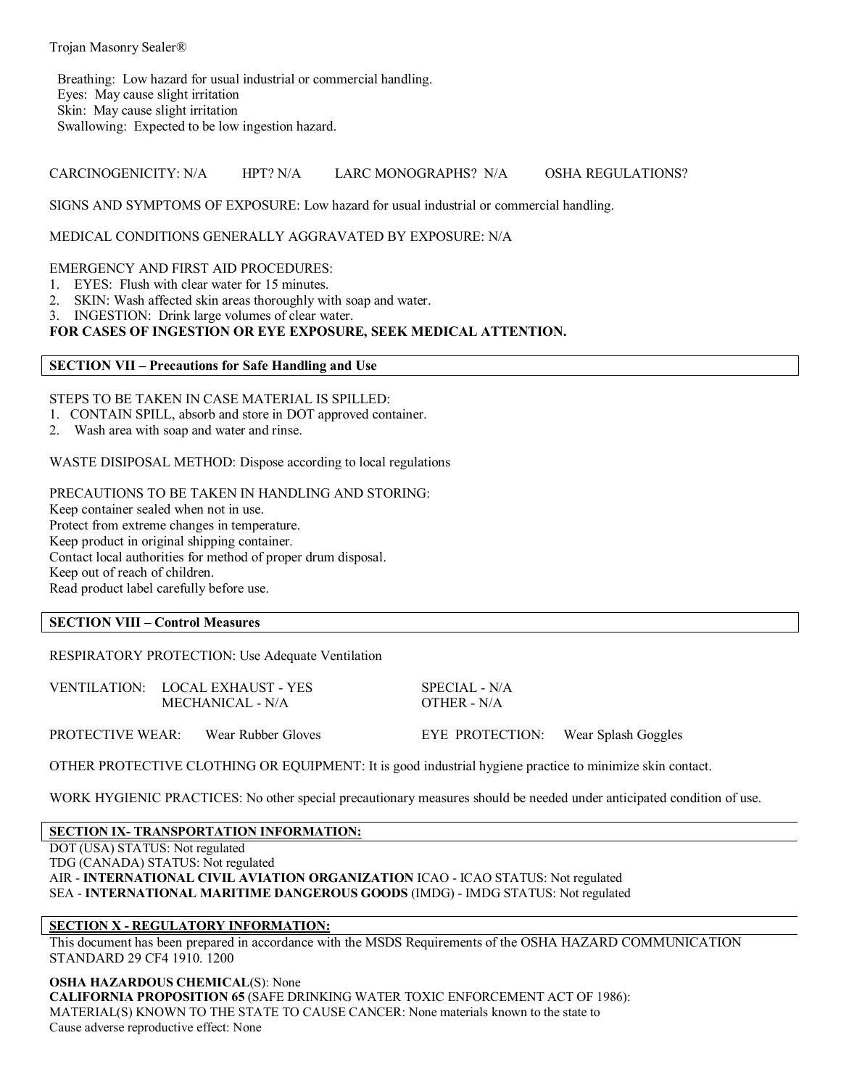Breathing: Low hazard for usual industrial or commercial handling. Eyes: May cause slight irritation Skin: May cause slight irritation Swallowing: Expected to be low ingestion hazard.

CARCINOGENICITY: N/A HPT? N/A LARC MONOGRAPHS? N/A OSHA REGULATIONS?

SIGNS AND SYMPTOMS OF EXPOSURE: Low hazard for usual industrial or commercial handling.

#### MEDICAL CONDITIONS GENERALLY AGGRAVATED BY EXPOSURE: N/A

#### EMERGENCY AND FIRST AID PROCEDURES:

- 1. EYES: Flush with clear water for 15 minutes.
- 2. SKIN: Wash affected skin areas thoroughly with soap and water.
- 3. INGESTION: Drink large volumes of clear water.

#### **FOR CASES OF INGESTION OR EYE EXPOSURE, SEEK MEDICAL ATTENTION.**

#### **SECTION VII – Precautions for Safe Handling and Use**

#### STEPS TO BE TAKEN IN CASE MATERIAL IS SPILLED:

- 1. CONTAIN SPILL, absorb and store in DOT approved container.
- 2. Wash area with soap and water and rinse.

WASTE DISIPOSAL METHOD: Dispose according to local regulations

PRECAUTIONS TO BE TAKEN IN HANDLING AND STORING: Keep container sealed when not in use. Protect from extreme changes in temperature. Keep product in original shipping container. Contact local authorities for method of proper drum disposal. Keep out of reach of children. Read product label carefully before use.

#### **SECTION VIII – Control Measures**

RESPIRATORY PROTECTION: Use Adequate Ventilation

| VENTILATION: LOCAL EXHAUST - YES |  | SPECIAL - N/A      |                                     |  |
|----------------------------------|--|--------------------|-------------------------------------|--|
| MECHANICAL - N/A                 |  | OTHER - $N/A$      |                                     |  |
| PROTECTIVE WEAR:                 |  | Wear Rubber Gloves | EYE PROTECTION: Wear Splash Goggles |  |

OTHER PROTECTIVE CLOTHING OR EQUIPMENT: It is good industrial hygiene practice to minimize skin contact.

WORK HYGIENIC PRACTICES: No other special precautionary measures should be needed under anticipated condition of use.

#### **SECTION IX- TRANSPORTATION INFORMATION:**

DOT (USA) STATUS: Not regulated TDG (CANADA) STATUS: Not regulated AIR - **INTERNATIONAL CIVIL AVIATION ORGANIZATION** ICAO - ICAO STATUS: Not regulated SEA - **INTERNATIONAL MARITIME DANGEROUS GOODS** (IMDG) - IMDG STATUS: Not regulated

#### **SECTION X - REGULATORY INFORMATION:**

This document has been prepared in accordance with the MSDS Requirements of the OSHA HAZARD COMMUNICATION STANDARD 29 CF4 1910. 1200

**OSHA HAZARDOUS CHEMICAL**(S): None

**CALIFORNIA PROPOSITION 65** (SAFE DRINKING WATER TOXIC ENFORCEMENT ACT OF 1986): MATERIAL(S) KNOWN TO THE STATE TO CAUSE CANCER: None materials known to the state to Cause adverse reproductive effect: None